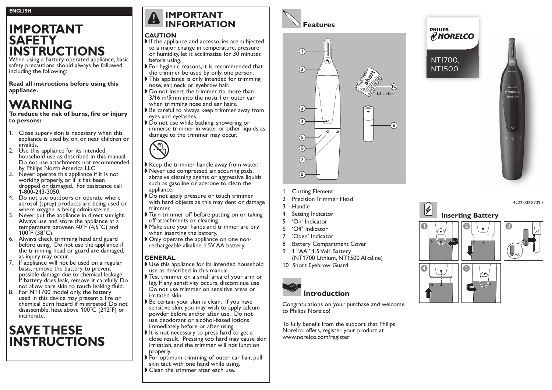# **IMPORTANT SAFETY INSTRUCTIONS**

When using a battery-operated appliance, basic safety precautions should always be followed, including the following:

**Read all instructions before using this appliance.**

# **WARNING**

**To reduce the risk of burns, fire or injury to persons:**

- 1. Close supervision is necessary when this appliance is used by, on, or near children or invalids.
- 2. Use this appliance for its intended household use as described in this manual. Do not use attachments not recommended by Philips North America LLC.
- 3. Never operate this appliance if it is not working properly, or if it has been dropped or damaged. For assistance call 1-800-243-3050.
- 4. Do not use outdoors or operate where aerosol (spray) products are being used or where oxygen is being administered.
- 5. Never put the appliance in direct sunlight. Always use and store the appliance at a temperature between  $40^{\circ}F'(4,5^{\circ}C)$  and  $100^{\circ}F(38^{\circ}C)$ .
- 6. Always check trimming head and guard before using. Do not use the appliance if the trimming head or guard are damaged, as injury may occur.
- 7. If appliance will not be used on a regular basis, remove the battery to prevent possible damage due to chemical leakage. If battery does leak, remove it carefully. Do not allow bare skin to touch leaking fluid.
- 8. For NT1700 model only, the battery used in this device may present a fire or chemical burn hazard if mistreated. Do not disassemble, heat above 100˚C (212˚F) or incinerate.

# **SAVE THESE INSTRUCTIONS**

## **IMPORTANT INFORMATION**

#### **CAUTION**

- $\blacktriangleright$  If the appliance and accessories are subjected to a major change in temperature, pressure or humidity, let it acclimatize for 30 minutes before using.
- $\triangleright$  For hygienic reasons, it is recommended that the trimmer be used by only one person.
- $\blacktriangleright$  This appliance is only intended for trimming nose, ear, neck or eyebrow hair.
- $\triangleright$  Do not insert the trimmer tip more than 3/16 in/5mm into the nostril or outer ear when trimming nose and ear hairs.
- Be careful to always keep trimmer away from eyes and eyelashes.
- Do not use while bathing, showering or immerse trimmer in water or other liquids as damage to the trimmer may occur.

- $\blacktriangleright$  Keep the trimmer handle away from water.
- $\blacktriangleright$  Never use compressed air, scouring pads, abrasive cleaning agents or aggressive liquids such as gasoline or acetone to clean the appliance.
- Do not apply pressure or touch trimmer with hard objects as this may dent or damage trimmer.
- I Turn trimmer off before putting on or taking off attachments or cleaning.
- Make sure your hands and trimmer are dry when inserting the battery.
- $\triangleright$  Only operate the appliance on one nonrechargeable alkaline 1.5V AA battery.

#### **GENERAL**

- $\blacktriangleright$  Use this appliance for its intended household use as described in this manual.
- If Test trimmer on a small area of your arm or leg. If any sensitivity occurs, discontinue use. Do not use trimmer on sensitive areas or irritated skin.
- Be certain your skin is clean. If you have sensitive skin, you may wish to apply talcum powder before and/or after use. Do not use deodorant or alcohol-based lotions immediately before or after using.
- $\blacktriangleright$  It is not necessary to press hard to get a close result. Pressing too hard may cause skin irritation, and the trimmer will not function properly.
- $\triangleright$  For optimum trimming of outer ear hair, pull skin taut with one hand while using.
- $\blacktriangleright$  Clean the trimmer after each use.





- 1 Cutting Element
- 2 Precision Trimmer Head
- 3 Handle
- 4 Setting Indicator
- 5 'On' Indicator
- 6 'Off' Indicator
- 7 'Open' Indicator
- 8 Battery Compartment Cover
- 9 1 "AA" 1.5 Volt Battery (NT1700 Lithium, NT1500 Alkaline)
- 10 Short Eyebrow Guard



Congratulations on your purchase and welcome to Philips Norelco!

To fully benefit from the support that Philips Norelco offers, register your product at www.norelco.com/register